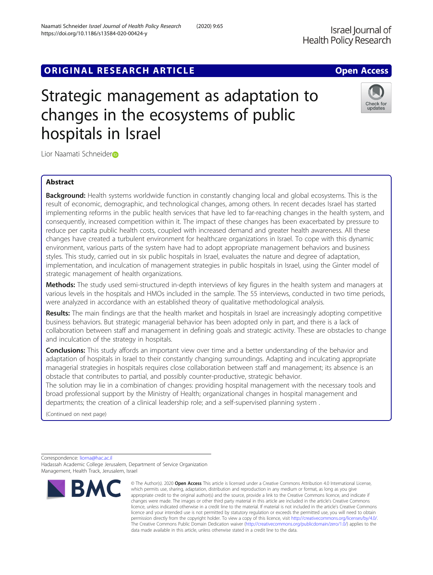# **ORIGINAL RESEARCH ARTICLE CONSUMING ACCESS**

# Strategic management as adaptation to changes in the ecosystems of public hospitals in Israel

Lio[r](http://orcid.org/0000-0001-5875-3687) Naamati Schneider<sup>b</sup>

## Abstract

Background: Health systems worldwide function in constantly changing local and global ecosystems. This is the result of economic, demographic, and technological changes, among others. In recent decades Israel has started implementing reforms in the public health services that have led to far-reaching changes in the health system, and consequently, increased competition within it. The impact of these changes has been exacerbated by pressure to reduce per capita public health costs, coupled with increased demand and greater health awareness. All these changes have created a turbulent environment for healthcare organizations in Israel. To cope with this dynamic environment, various parts of the system have had to adopt appropriate management behaviors and business styles. This study, carried out in six public hospitals in Israel, evaluates the nature and degree of adaptation, implementation, and inculcation of management strategies in public hospitals in Israel, using the Ginter model of strategic management of health organizations.

Methods: The study used semi-structured in-depth interviews of key figures in the health system and managers at various levels in the hospitals and HMOs included in the sample. The 55 interviews, conducted in two time periods, were analyzed in accordance with an established theory of qualitative methodological analysis.

Results: The main findings are that the health market and hospitals in Israel are increasingly adopting competitive business behaviors. But strategic managerial behavior has been adopted only in part, and there is a lack of collaboration between staff and management in defining goals and strategic activity. These are obstacles to change and inculcation of the strategy in hospitals.

**Conclusions:** This study affords an important view over time and a better understanding of the behavior and adaptation of hospitals in Israel to their constantly changing surroundings. Adapting and inculcating appropriate managerial strategies in hospitals requires close collaboration between staff and management; its absence is an obstacle that contributes to partial, and possibly counter-productive, strategic behavior.

The solution may lie in a combination of changes: providing hospital management with the necessary tools and broad professional support by the Ministry of Health; organizational changes in hospital management and departments; the creation of a clinical leadership role; and a self-supervised planning system .

(Continued on next page)

Correspondence: [liorna@hac.ac.il](mailto:liorna@hac.ac.il) Hadassah Academic College Jerusalem, Department of Service Organization Management, Health Track, Jerusalem, Israel



© The Author(s), 2020 **Open Access** This article is licensed under a Creative Commons Attribution 4.0 International License,





Check for updates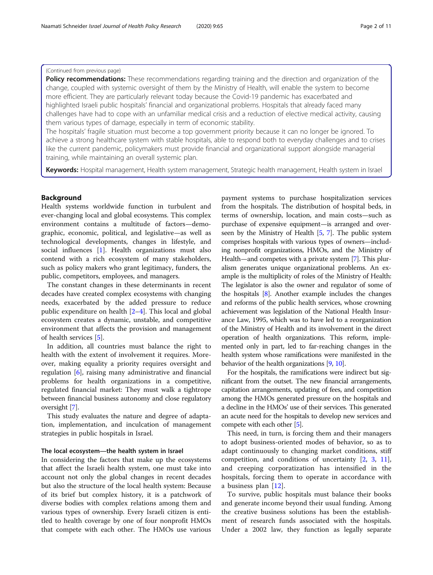#### (Continued from previous page)

Policy recommendations: These recommendations regarding training and the direction and organization of the change, coupled with systemic oversight of them by the Ministry of Health, will enable the system to become more efficient. They are particularly relevant today because the Covid-19 pandemic has exacerbated and highlighted Israeli public hospitals' financial and organizational problems. Hospitals that already faced many challenges have had to cope with an unfamiliar medical crisis and a reduction of elective medical activity, causing them various types of damage, especially in term of economic stability.

The hospitals' fragile situation must become a top government priority because it can no longer be ignored. To achieve a strong healthcare system with stable hospitals, able to respond both to everyday challenges and to crises like the current pandemic, policymakers must provide financial and organizational support alongside managerial training, while maintaining an overall systemic plan.

Keywords: Hospital management, Health system management, Strategic health management, Health system in Israel

### Background

Health systems worldwide function in turbulent and ever-changing local and global ecosystems. This complex environment contains a multitude of factors—demographic, economic, political, and legislative—as well as technological developments, changes in lifestyle, and social influences [[1](#page-9-0)]. Health organizations must also contend with a rich ecosystem of many stakeholders, such as policy makers who grant legitimacy, funders, the public, competitors, employees, and managers.

The constant changes in these determinants in recent decades have created complex ecosystems with changing needs, exacerbated by the added pressure to reduce public expenditure on health [\[2](#page-9-0)–[4\]](#page-9-0). This local and global ecosystem creates a dynamic, unstable, and competitive environment that affects the provision and management of health services [\[5](#page-9-0)].

In addition, all countries must balance the right to health with the extent of involvement it requires. Moreover, making equality a priority requires oversight and regulation [[6\]](#page-9-0), raising many administrative and financial problems for health organizations in a competitive, regulated financial market: They must walk a tightrope between financial business autonomy and close regulatory oversight [[7\]](#page-9-0).

This study evaluates the nature and degree of adaptation, implementation, and inculcation of management strategies in public hospitals in Israel.

#### The local ecosystem—the health system in Israel

In considering the factors that make up the ecosystems that affect the Israeli health system, one must take into account not only the global changes in recent decades but also the structure of the local health system: Because of its brief but complex history, it is a patchwork of diverse bodies with complex relations among them and various types of ownership. Every Israeli citizen is entitled to health coverage by one of four nonprofit HMOs that compete with each other. The HMOs use various

payment systems to purchase hospitalization services from the hospitals. The distribution of hospital beds, in terms of ownership, location, and main costs—such as purchase of expensive equipment—is arranged and overseen by the Ministry of Health [[5,](#page-9-0) [7](#page-9-0)]. The public system comprises hospitals with various types of owners—including nonprofit organizations, HMOs, and the Ministry of Health—and competes with a private system [\[7\]](#page-9-0). This pluralism generates unique organizational problems. An example is the multiplicity of roles of the Ministry of Health: The legislator is also the owner and regulator of some of the hospitals [[8\]](#page-9-0). Another example includes the changes and reforms of the public health services, whose crowning achievement was legislation of the National Health Insurance Law, 1995, which was to have led to a reorganization of the Ministry of Health and its involvement in the direct operation of health organizations. This reform, implemented only in part, led to far-reaching changes in the health system whose ramifications were manifested in the behavior of the health organizations [[9,](#page-9-0) [10\]](#page-9-0).

For the hospitals, the ramifications were indirect but significant from the outset. The new financial arrangements, capitation arrangements, updating of fees, and competition among the HMOs generated pressure on the hospitals and a decline in the HMOs' use of their services. This generated an acute need for the hospitals to develop new services and compete with each other [\[5](#page-9-0)].

This need, in turn, is forcing them and their managers to adopt business-oriented modes of behavior, so as to adapt continuously to changing market conditions, stiff competition, and conditions of uncertainty [[2](#page-9-0), [3,](#page-9-0) [11](#page-9-0)], and creeping corporatization has intensified in the hospitals, forcing them to operate in accordance with a business plan [[12](#page-9-0)].

To survive, public hospitals must balance their books and generate income beyond their usual funding. Among the creative business solutions has been the establishment of research funds associated with the hospitals. Under a 2002 law, they function as legally separate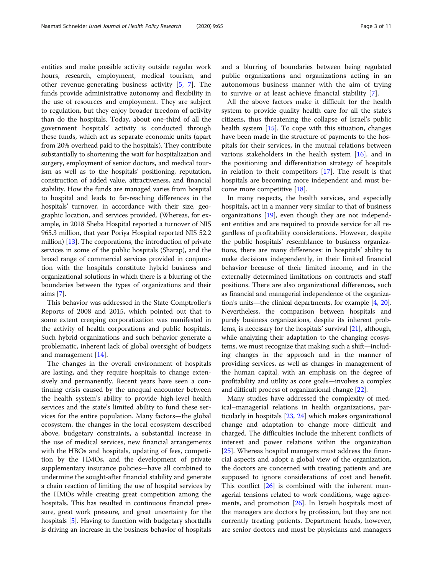entities and make possible activity outside regular work hours, research, employment, medical tourism, and other revenue-generating business activity [[5,](#page-9-0) [7](#page-9-0)]. The funds provide administrative autonomy and flexibility in the use of resources and employment. They are subject to regulation, but they enjoy broader freedom of activity than do the hospitals. Today, about one-third of all the government hospitals' activity is conducted through these funds, which act as separate economic units (apart from 20% overhead paid to the hospitals). They contribute substantially to shortening the wait for hospitalization and surgery, employment of senior doctors, and medical tourism as well as to the hospitals' positioning, reputation, construction of added value, attractiveness, and financial stability. How the funds are managed varies from hospital to hospital and leads to far-reaching differences in the hospitals' turnover, in accordance with their size, geographic location, and services provided. (Whereas, for example, in 2018 Sheba Hospital reported a turnover of NIS 965.3 million, that year Poriya Hospital reported NIS 52.2 million) [[13](#page-9-0)]. The corporations, the introduction of private services in some of the public hospitals (Sharap), and the broad range of commercial services provided in conjunction with the hospitals constitute hybrid business and organizational solutions in which there is a blurring of the boundaries between the types of organizations and their aims [\[7\]](#page-9-0).

This behavior was addressed in the State Comptroller's Reports of 2008 and 2015, which pointed out that to some extent creeping corporatization was manifested in the activity of health corporations and public hospitals. Such hybrid organizations and such behavior generate a problematic, inherent lack of global oversight of budgets and management [\[14](#page-9-0)].

The changes in the overall environment of hospitals are lasting, and they require hospitals to change extensively and permanently. Recent years have seen a continuing crisis caused by the unequal encounter between the health system's ability to provide high-level health services and the state's limited ability to fund these services for the entire population. Many factors—the global ecosystem, the changes in the local ecosystem described above, budgetary constraints, a substantial increase in the use of medical services, new financial arrangements with the HBOs and hospitals, updating of fees, competition by the HMOs, and the development of private supplementary insurance policies—have all combined to undermine the sought-after financial stability and generate a chain reaction of limiting the use of hospital services by the HMOs while creating great competition among the hospitals. This has resulted in continuous financial pressure, great work pressure, and great uncertainty for the hospitals [\[5\]](#page-9-0). Having to function with budgetary shortfalls is driving an increase in the business behavior of hospitals and a blurring of boundaries between being regulated public organizations and organizations acting in an autonomous business manner with the aim of trying to survive or at least achieve financial stability [[7](#page-9-0)].

All the above factors make it difficult for the health system to provide quality health care for all the state's citizens, thus threatening the collapse of Israel's public health system [\[15\]](#page-9-0). To cope with this situation, changes have been made in the structure of payments to the hospitals for their services, in the mutual relations between various stakeholders in the health system [[16\]](#page-10-0), and in the positioning and differentiation strategy of hospitals in relation to their competitors [[17\]](#page-10-0). The result is that hospitals are becoming more independent and must become more competitive [[18\]](#page-10-0).

In many respects, the health services, and especially hospitals, act in a manner very similar to that of business organizations [[19](#page-10-0)], even though they are not independent entities and are required to provide service for all regardless of profitability considerations. However, despite the public hospitals' resemblance to business organizations, there are many differences: in hospitals' ability to make decisions independently, in their limited financial behavior because of their limited income, and in the externally determined limitations on contracts and staff positions. There are also organizational differences, such as financial and managerial independence of the organization's units—the clinical departments, for example [[4,](#page-9-0) [20](#page-10-0)]. Nevertheless, the comparison between hospitals and purely business organizations, despite its inherent problems, is necessary for the hospitals' survival [[21](#page-10-0)], although, while analyzing their adaptation to the changing ecosystems, we must recognize that making such a shift—including changes in the approach and in the manner of providing services, as well as changes in management of the human capital, with an emphasis on the degree of profitability and utility as core goals—involves a complex and difficult process of organizational change [\[22\]](#page-10-0).

Many studies have addressed the complexity of medical–managerial relations in health organizations, particularly in hospitals [[23,](#page-10-0) [24\]](#page-10-0) which makes organizational change and adaptation to change more difficult and charged. The difficulties include the inherent conflicts of interest and power relations within the organization [[25\]](#page-10-0). Whereas hospital managers must address the financial aspects and adopt a global view of the organization, the doctors are concerned with treating patients and are supposed to ignore considerations of cost and benefit. This conflict [\[26](#page-10-0)] is combined with the inherent managerial tensions related to work conditions, wage agreements, and promotion [[26\]](#page-10-0). In Israeli hospitals most of the managers are doctors by profession, but they are not currently treating patients. Department heads, however, are senior doctors and must be physicians and managers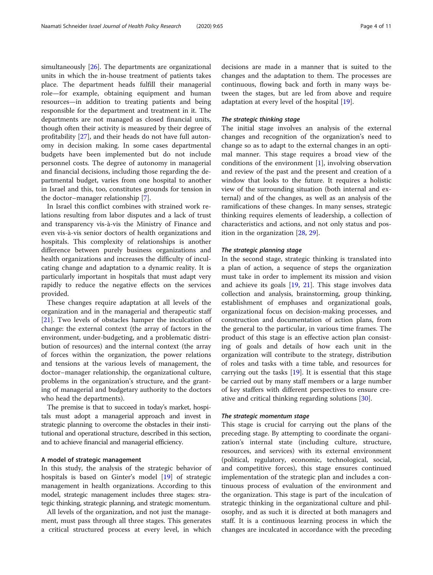simultaneously [\[26](#page-10-0)]. The departments are organizational units in which the in-house treatment of patients takes place. The department heads fulfill their managerial role—for example, obtaining equipment and human resources—in addition to treating patients and being responsible for the department and treatment in it. The departments are not managed as closed financial units, though often their activity is measured by their degree of profitability [\[27](#page-10-0)], and their heads do not have full autonomy in decision making. In some cases departmental budgets have been implemented but do not include personnel costs. The degree of autonomy in managerial and financial decisions, including those regarding the departmental budget, varies from one hospital to another in Israel and this, too, constitutes grounds for tension in the doctor–manager relationship [[7](#page-9-0)].

In Israel this conflict combines with strained work relations resulting from labor disputes and a lack of trust and transparency vis-à-vis the Ministry of Finance and even vis-à-vis senior doctors of health organizations and hospitals. This complexity of relationships is another difference between purely business organizations and health organizations and increases the difficulty of inculcating change and adaptation to a dynamic reality. It is particularly important in hospitals that must adapt very rapidly to reduce the negative effects on the services provided.

These changes require adaptation at all levels of the organization and in the managerial and therapeutic staff [[21\]](#page-10-0). Two levels of obstacles hamper the inculcation of change: the external context (the array of factors in the environment, under-budgeting, and a problematic distribution of resources) and the internal context (the array of forces within the organization, the power relations and tensions at the various levels of management, the doctor–manager relationship, the organizational culture, problems in the organization's structure, and the granting of managerial and budgetary authority to the doctors who head the departments).

The premise is that to succeed in today's market, hospitals must adopt a managerial approach and invest in strategic planning to overcome the obstacles in their institutional and operational structure, described in this section, and to achieve financial and managerial efficiency.

#### A model of strategic management

In this study, the analysis of the strategic behavior of hospitals is based on Ginter's model [[19\]](#page-10-0) of strategic management in health organizations. According to this model, strategic management includes three stages: strategic thinking, strategic planning, and strategic momentum.

All levels of the organization, and not just the management, must pass through all three stages. This generates a critical structured process at every level, in which

decisions are made in a manner that is suited to the changes and the adaptation to them. The processes are continuous, flowing back and forth in many ways between the stages, but are led from above and require adaptation at every level of the hospital [[19\]](#page-10-0).

The initial stage involves an analysis of the external changes and recognition of the organization's need to change so as to adapt to the external changes in an optimal manner. This stage requires a broad view of the conditions of the environment  $[1]$  $[1]$ , involving observation and review of the past and the present and creation of a window that looks to the future. It requires a holistic view of the surrounding situation (both internal and external) and of the changes, as well as an analysis of the ramifications of these changes. In many senses, strategic thinking requires elements of leadership, a collection of characteristics and actions, and not only status and position in the organization [\[28,](#page-10-0) [29\]](#page-10-0).

In the second stage, strategic thinking is translated into a plan of action, a sequence of steps the organization must take in order to implement its mission and vision and achieve its goals [[19,](#page-10-0) [21\]](#page-10-0). This stage involves data collection and analysis, brainstorming, group thinking, establishment of emphases and organizational goals, organizational focus on decision-making processes, and construction and documentation of action plans, from the general to the particular, in various time frames. The product of this stage is an effective action plan consisting of goals and details of how each unit in the organization will contribute to the strategy, distribution of roles and tasks with a time table, and resources for carrying out the tasks [[19](#page-10-0)]. It is essential that this stage be carried out by many staff members or a large number of key staffers with different perspectives to ensure creative and critical thinking regarding solutions [[30\]](#page-10-0).

This stage is crucial for carrying out the plans of the preceding stage. By attempting to coordinate the organization's internal state (including culture, structure, resources, and services) with its external environment (political, regulatory, economic, technological, social, and competitive forces), this stage ensures continued implementation of the strategic plan and includes a continuous process of evaluation of the environment and the organization. This stage is part of the inculcation of strategic thinking in the organizational culture and philosophy, and as such it is directed at both managers and staff. It is a continuous learning process in which the changes are inculcated in accordance with the preceding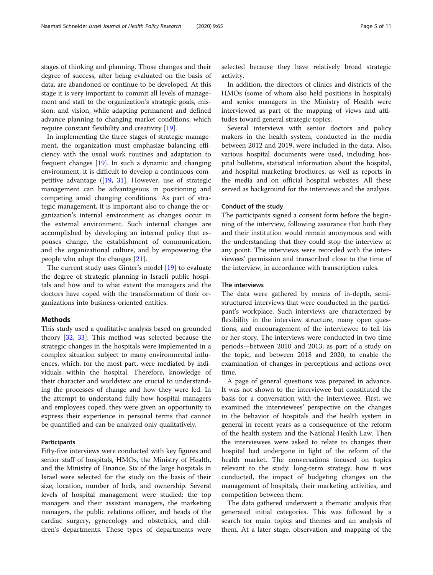stages of thinking and planning. Those changes and their degree of success, after being evaluated on the basis of data, are abandoned or continue to be developed. At this stage it is very important to commit all levels of management and staff to the organization's strategic goals, mission, and vision, while adapting permanent and defined advance planning to changing market conditions, which require constant flexibility and creativity [\[19](#page-10-0)].

In implementing the three stages of strategic management, the organization must emphasize balancing efficiency with the usual work routines and adaptation to frequent changes [\[19](#page-10-0)]. In such a dynamic and changing environment, it is difficult to develop a continuous competitive advantage  $(19, 31)$  $(19, 31)$  $(19, 31)$ . However, use of strategic management can be advantageous in positioning and competing amid changing conditions. As part of strategic management, it is important also to change the organization's internal environment as changes occur in the external environment. Such internal changes are accomplished by developing an internal policy that espouses change, the establishment of communication, and the organizational culture, and by empowering the people who adopt the changes [\[21\]](#page-10-0).

The current study uses Ginter's model [[19\]](#page-10-0) to evaluate the degree of strategic planning in Israeli public hospitals and how and to what extent the managers and the doctors have coped with the transformation of their organizations into business-oriented entities.

#### Methods

This study used a qualitative analysis based on grounded theory [\[32](#page-10-0), [33\]](#page-10-0). This method was selected because the strategic changes in the hospitals were implemented in a complex situation subject to many environmental influences, which, for the most part, were mediated by individuals within the hospital. Therefore, knowledge of their character and worldview are crucial to understanding the processes of change and how they were led. In the attempt to understand fully how hospital managers and employees coped, they were given an opportunity to express their experience in personal terms that cannot be quantified and can be analyzed only qualitatively.

#### Participants

Fifty-five interviews were conducted with key figures and senior staff of hospitals, HMOs, the Ministry of Health, and the Ministry of Finance. Six of the large hospitals in Israel were selected for the study on the basis of their size, location, number of beds, and ownership. Several levels of hospital management were studied: the top managers and their assistant managers, the marketing managers, the public relations officer, and heads of the cardiac surgery, gynecology and obstetrics, and children's departments. These types of departments were selected because they have relatively broad strategic activity.

In addition, the directors of clinics and districts of the HMOs (some of whom also held positions in hospitals) and senior managers in the Ministry of Health were interviewed as part of the mapping of views and attitudes toward general strategic topics.

Several interviews with senior doctors and policy makers in the health system, conducted in the media between 2012 and 2019, were included in the data. Also, various hospital documents were used, including hospital bulletins, statistical information about the hospital, and hospital marketing brochures, as well as reports in the media and on official hospital websites. All these served as background for the interviews and the analysis.

#### Conduct of the study

The participants signed a consent form before the beginning of the interview, following assurance that both they and their institution would remain anonymous and with the understanding that they could stop the interview at any point. The interviews were recorded with the interviewees' permission and transcribed close to the time of the interview, in accordance with transcription rules.

#### The interviews

The data were gathered by means of in-depth, semistructured interviews that were conducted in the participant's workplace. Such interviews are characterized by flexibility in the interview structure, many open questions, and encouragement of the interviewee to tell his or her story. The interviews were conducted in two time periods—between 2010 and 2013, as part of a study on the topic, and between 2018 and 2020, to enable the examination of changes in perceptions and actions over time.

A page of general questions was prepared in advance. It was not shown to the interviewee but constituted the basis for a conversation with the interviewee. First, we examined the interviewees' perspective on the changes in the behavior of hospitals and the health system in general in recent years as a consequence of the reform of the health system and the National Health Law. Then the interviewees were asked to relate to changes their hospital had undergone in light of the reform of the health market. The conversations focused on topics relevant to the study: long-term strategy, how it was conducted, the impact of budgeting changes on the management of hospitals, their marketing activities, and competition between them.

The data gathered underwent a thematic analysis that generated initial categories. This was followed by a search for main topics and themes and an analysis of them. At a later stage, observation and mapping of the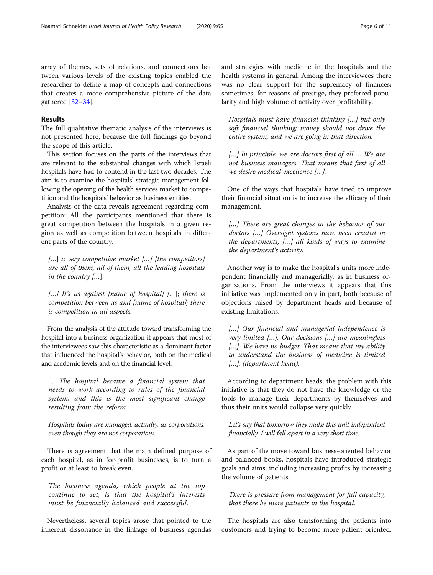array of themes, sets of relations, and connections between various levels of the existing topics enabled the researcher to define a map of concepts and connections that creates a more comprehensive picture of the data gathered [\[32](#page-10-0)–[34\]](#page-10-0).

#### **Results**

The full qualitative thematic analysis of the interviews is not presented here, because the full findings go beyond the scope of this article.

This section focuses on the parts of the interviews that are relevant to the substantial changes with which Israeli hospitals have had to contend in the last two decades. The aim is to examine the hospitals' strategic management following the opening of the health services market to competition and the hospitals' behavior as business entities.

Analysis of the data reveals agreement regarding competition: All the participants mentioned that there is great competition between the hospitals in a given region as well as competition between hospitals in different parts of the country.

 $[...]$  a very competitive market  $[...]$  [the competitors] are all of them, all of them, all the leading hospitals in the country  $[\dots]$ .

 $[...]$  It's us against [name of hospital]  $[...]$ ; there is competition between us and [name of hospital]; there is competition in all aspects.

From the analysis of the attitude toward transforming the hospital into a business organization it appears that most of the interviewees saw this characteristic as a dominant factor that influenced the hospital's behavior, both on the medical and academic levels and on the financial level.

… The hospital became a financial system that needs to work according to rules of the financial system, and this is the most significant change resulting from the reform.

Hospitals today are managed, actually, as corporations, even though they are not corporations.

There is agreement that the main defined purpose of each hospital, as in for-profit businesses, is to turn a profit or at least to break even.

The business agenda, which people at the top continue to set, is that the hospital's interests must be financially balanced and successful.

Nevertheless, several topics arose that pointed to the inherent dissonance in the linkage of business agendas and strategies with medicine in the hospitals and the health systems in general. Among the interviewees there was no clear support for the supremacy of finances; sometimes, for reasons of prestige, they preferred popularity and high volume of activity over profitability.

Hospitals must have financial thinking […] but only soft financial thinking; money should not drive the entire system, and we are going in that direction.

 $[...]$  In principle, we are doctors first of all  $\ldots$  We are not business managers. That means that first of all we desire medical excellence […].

One of the ways that hospitals have tried to improve their financial situation is to increase the efficacy of their management.

[...] There are great changes in the behavior of our doctors […] Oversight systems have been created in the departments, […] all kinds of ways to examine the department's activity.

Another way is to make the hospital's units more independent financially and managerially, as in business organizations. From the interviews it appears that this initiative was implemented only in part, both because of objections raised by department heads and because of existing limitations.

[...] Our financial and managerial independence is very limited […]. Our decisions […] are meaningless [...]. We have no budget. That means that my ability to understand the business of medicine is limited [...]. (department head).

According to department heads, the problem with this initiative is that they do not have the knowledge or the tools to manage their departments by themselves and thus their units would collapse very quickly.

Let's say that tomorrow they make this unit independent financially. I will fall apart in a very short time.

As part of the move toward business-oriented behavior and balanced books, hospitals have introduced strategic goals and aims, including increasing profits by increasing the volume of patients.

There is pressure from management for full capacity, that there be more patients in the hospital.

The hospitals are also transforming the patients into customers and trying to become more patient oriented.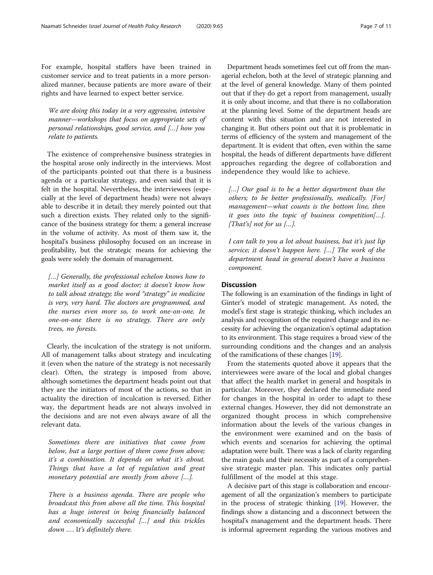For example, hospital staffers have been trained in customer service and to treat patients in a more personalized manner, because patients are more aware of their rights and have learned to expect better service.

We are doing this today in a very aggressive, intensive manner—workshops that focus on appropriate sets of personal relationships, good service, and […] how you relate to patients.

The existence of comprehensive business strategies in the hospital arose only indirectly in the interviews. Most of the participants pointed out that there is a business agenda or a particular strategy, and even said that it is felt in the hospital. Nevertheless, the interviewees (especially at the level of department heads) were not always able to describe it in detail; they merely pointed out that such a direction exists. They related only to the significance of the business strategy for them: a general increase in the volume of activity. As most of them saw it, the hospital's business philosophy focused on an increase in profitability, but the strategic means for achieving the goals were solely the domain of management.

[...] Generally, the professional echelon knows how to market itself as a good doctor; it doesn't know how to talk about strategy; the word "strategy" in medicine is very, very hard. The doctors are programmed, and the nurses even more so, to work one-on-one. In one-on-one there is no strategy. There are only trees, no forests.

Clearly, the inculcation of the strategy is not uniform. All of management talks about strategy and inculcating it (even when the nature of the strategy is not necessarily clear). Often, the strategy is imposed from above, although sometimes the department heads point out that they are the initiators of most of the actions, so that in actuality the direction of inculcation is reversed. Either way, the department heads are not always involved in the decisions and are not even always aware of all the relevant data.

Sometimes there are initiatives that come from below, but a large portion of them come from above; it's a combination. It depends on what it's about. Things that have a lot of regulation and great monetary potential are mostly from above […].

There is a business agenda. There are people who broadcast this from above all the time. This hospital has a huge interest in being financially balanced and economically successful […] and this trickles down …. It's definitely there.

Department heads sometimes feel cut off from the managerial echelon, both at the level of strategic planning and at the level of general knowledge. Many of them pointed out that if they do get a report from management, usually it is only about income, and that there is no collaboration at the planning level. Some of the department heads are content with this situation and are not interested in changing it. But others point out that it is problematic in terms of efficiency of the system and management of the department. It is evident that often, even within the same hospital, the heads of different departments have different approaches regarding the degree of collaboration and independence they would like to achieve.

[...] Our goal is to be a better department than the others; to be better professionally, medically. [For] management—what counts is the bottom line, then it goes into the topic of business competition[…]. [That's] not for us  $[...]$ .

I can talk to you a lot about business, but it's just lip service; it doesn't happen here. […] The work of the department head in general doesn't have a business component.

### **Discussion**

The following is an examination of the findings in light of Ginter's model of strategic management. As noted, the model's first stage is strategic thinking, which includes an analysis and recognition of the required change and its necessity for achieving the organization's optimal adaptation to its environment. This stage requires a broad view of the surrounding conditions and the changes and an analysis of the ramifications of these changes [\[19\]](#page-10-0).

From the statements quoted above it appears that the interviewees were aware of the local and global changes that affect the health market in general and hospitals in particular. Moreover, they declared the immediate need for changes in the hospital in order to adapt to these external changes. However, they did not demonstrate an organized thought process in which comprehensive information about the levels of the various changes in the environment were examined and on the basis of which events and scenarios for achieving the optimal adaptation were built. There was a lack of clarity regarding the main goals and their necessity as part of a comprehensive strategic master plan. This indicates only partial fulfillment of the model at this stage.

A decisive part of this stage is collaboration and encouragement of all the organization's members to participate in the process of strategic thinking [\[19\]](#page-10-0). However, the findings show a distancing and a disconnect between the hospital's management and the department heads. There is informal agreement regarding the various motives and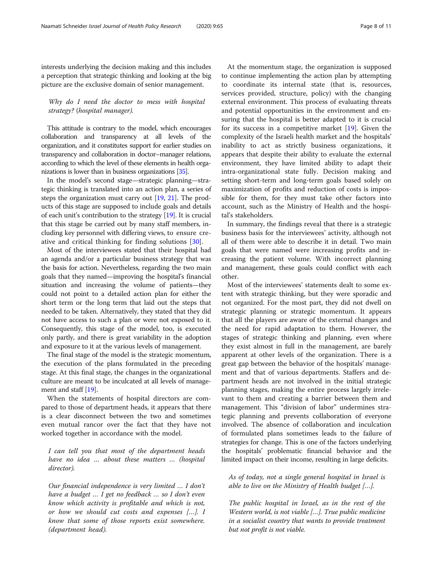interests underlying the decision making and this includes a perception that strategic thinking and looking at the big picture are the exclusive domain of senior management.

### Why do I need the doctor to mess with hospital strategy? (hospital manager).

This attitude is contrary to the model, which encourages collaboration and transparency at all levels of the organization, and it constitutes support for earlier studies on transparency and collaboration in doctor–manager relations, according to which the level of these elements in health organizations is lower than in business organizations [\[35](#page-10-0)].

In the model's second stage—strategic planning—strategic thinking is translated into an action plan, a series of steps the organization must carry out [[19](#page-10-0), [21](#page-10-0)]. The products of this stage are supposed to include goals and details of each unit's contribution to the strategy [\[19\]](#page-10-0). It is crucial that this stage be carried out by many staff members, including key personnel with differing views, to ensure creative and critical thinking for finding solutions [\[30](#page-10-0)].

Most of the interviewees stated that their hospital had an agenda and/or a particular business strategy that was the basis for action. Nevertheless, regarding the two main goals that they named—improving the hospital's financial situation and increasing the volume of patients—they could not point to a detailed action plan for either the short term or the long term that laid out the steps that needed to be taken. Alternatively, they stated that they did not have access to such a plan or were not exposed to it. Consequently, this stage of the model, too, is executed only partly, and there is great variability in the adoption and exposure to it at the various levels of management.

The final stage of the model is the strategic momentum, the execution of the plans formulated in the preceding stage. At this final stage, the changes in the organizational culture are meant to be inculcated at all levels of management and staff [\[19\]](#page-10-0).

When the statements of hospital directors are compared to those of department heads, it appears that there is a clear disconnect between the two and sometimes even mutual rancor over the fact that they have not worked together in accordance with the model.

I can tell you that most of the department heads have no idea … about these matters … (hospital director).

Our financial independence is very limited … I don't have a budget … I get no feedback … so I don't even know which activity is profitable and which is not, or how we should cut costs and expenses […]. I know that some of those reports exist somewhere. (department head).

At the momentum stage, the organization is supposed to continue implementing the action plan by attempting to coordinate its internal state (that is, resources, services provided, structure, policy) with the changing external environment. This process of evaluating threats and potential opportunities in the environment and ensuring that the hospital is better adapted to it is crucial for its success in a competitive market [[19\]](#page-10-0). Given the complexity of the Israeli health market and the hospitals' inability to act as strictly business organizations, it appears that despite their ability to evaluate the external environment, they have limited ability to adapt their intra-organizational state fully. Decision making and setting short-term and long-term goals based solely on maximization of profits and reduction of costs is impossible for them, for they must take other factors into account, such as the Ministry of Health and the hospital's stakeholders.

In summary, the findings reveal that there is a strategic business basis for the interviewees' activity, although not all of them were able to describe it in detail. Two main goals that were named were increasing profits and increasing the patient volume. With incorrect planning and management, these goals could conflict with each other.

Most of the interviewees' statements dealt to some extent with strategic thinking, but they were sporadic and not organized. For the most part, they did not dwell on strategic planning or strategic momentum. It appears that all the players are aware of the external changes and the need for rapid adaptation to them. However, the stages of strategic thinking and planning, even where they exist almost in full in the management, are barely apparent at other levels of the organization. There is a great gap between the behavior of the hospitals' management and that of various departments. Staffers and department heads are not involved in the initial strategic planning stages, making the entire process largely irrelevant to them and creating a barrier between them and management. This "division of labor" undermines strategic planning and prevents collaboration of everyone involved. The absence of collaboration and inculcation of formulated plans sometimes leads to the failure of strategies for change. This is one of the factors underlying the hospitals' problematic financial behavior and the limited impact on their income, resulting in large deficits.

As of today, not a single general hospital in Israel is able to live on the Ministry of Health budget […].

The public hospital in Israel, as in the rest of the Western world, is not viable […]. True public medicine in a socialist country that wants to provide treatment but not profit is not viable.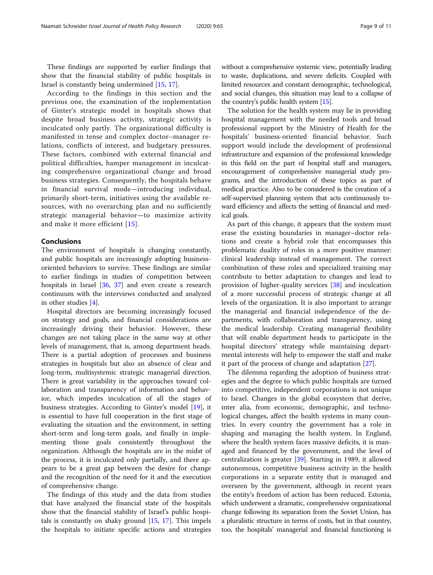These findings are supported by earlier findings that show that the financial stability of public hospitals in Israel is constantly being undermined [[15,](#page-9-0) [17\]](#page-10-0).

According to the findings in this section and the previous one, the examination of the implementation of Ginter's strategic model in hospitals shows that despite broad business activity, strategic activity is inculcated only partly. The organizational difficulty is manifested in tense and complex doctor–manager relations, conflicts of interest, and budgetary pressures. These factors, combined with external financial and political difficulties, hamper management in inculcating comprehensive organizational change and broad business strategies. Consequently, the hospitals behave in financial survival mode—introducing individual, primarily short-term, initiatives using the available resources, with no overarching plan and no sufficiently strategic managerial behavior—to maximize activity and make it more efficient [[15\]](#page-9-0).

#### Conclusions

The environment of hospitals is changing constantly, and public hospitals are increasingly adopting businessoriented behaviors to survive. These findings are similar to earlier findings in studies of competition between hospitals in Israel [\[36](#page-10-0), [37\]](#page-10-0) and even create a research continuum with the interviews conducted and analyzed in other studies [[4](#page-9-0)].

Hospital directors are becoming increasingly focused on strategy and goals, and financial considerations are increasingly driving their behavior. However, these changes are not taking place in the same way at other levels of management, that is, among department heads. There is a partial adoption of processes and business strategies in hospitals but also an absence of clear and long-term, multisystemic strategic managerial direction. There is great variability in the approaches toward collaboration and transparency of information and behavior, which impedes inculcation of all the stages of business strategies. According to Ginter's model [[19\]](#page-10-0), it is essential to have full cooperation in the first stage of evaluating the situation and the environment, in setting short-term and long-term goals, and finally in implementing those goals consistently throughout the organization. Although the hospitals are in the midst of the process, it is inculcated only partially, and there appears to be a great gap between the desire for change and the recognition of the need for it and the execution of comprehensive change.

The findings of this study and the data from studies that have analyzed the financial state of the hospitals show that the financial stability of Israel's public hospitals is constantly on shaky ground [\[15](#page-9-0), [17\]](#page-10-0). This impels the hospitals to initiate specific actions and strategies

without a comprehensive systemic view, potentially leading to waste, duplications, and severe deficits. Coupled with limited resources and constant demographic, technological, and social changes, this situation may lead to a collapse of the country's public health system [\[15\]](#page-9-0).

The solution for the health system may lie in providing hospital management with the needed tools and broad professional support by the Ministry of Health for the hospitals' business-oriented financial behavior. Such support would include the development of professional infrastructure and expansion of the professional knowledge in this field on the part of hospital staff and managers, encouragement of comprehensive managerial study programs, and the introduction of these topics as part of medical practice. Also to be considered is the creation of a self-supervised planning system that acts continuously toward efficiency and affects the setting of financial and medical goals.

As part of this change, it appears that the system must erase the existing boundaries in manager–doctor relations and create a hybrid role that encompasses this problematic duality of roles in a more positive manner: clinical leadership instead of management. The correct combination of these roles and specialized training may contribute to better adaptation to changes and lead to provision of higher-quality services [[38](#page-10-0)] and inculcation of a more successful process of strategic change at all levels of the organization. It is also important to arrange the managerial and financial independence of the departments, with collaboration and transparency, using the medical leadership. Creating managerial flexibility that will enable department heads to participate in the hospital directors' strategy while maintaining departmental interests will help to empower the staff and make it part of the process of change and adaptation [\[27](#page-10-0)].

The dilemma regarding the adoption of business strategies and the degree to which public hospitals are turned into competitive, independent corporations is not unique to Israel. Changes in the global ecosystem that derive, inter alia, from economic, demographic, and technological changes, affect the health systems in many countries. In every country the government has a role in shaping and managing the health system. In England, where the health system faces massive deficits, it is managed and financed by the government, and the level of centralization is greater [\[39\]](#page-10-0). Starting in 1989, it allowed autonomous, competitive business activity in the health corporations in a separate entity that is managed and overseen by the government, although in recent years the entity's freedom of action has been reduced. Estonia, which underwent a dramatic, comprehensive organizational change following its separation from the Soviet Union, has a pluralistic structure in terms of costs, but in that country, too, the hospitals' managerial and financial functioning is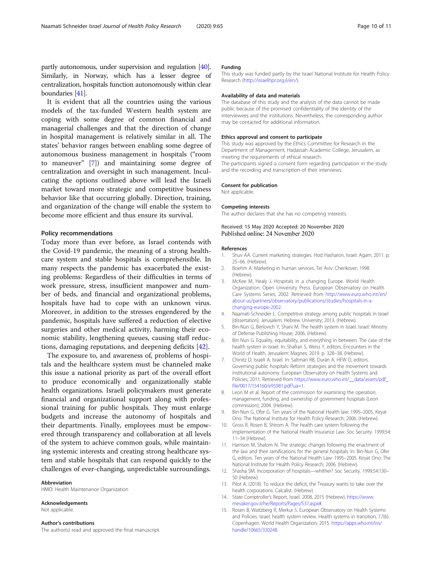<span id="page-9-0"></span>partly autonomous, under supervision and regulation [\[40](#page-10-0)]. Similarly, in Norway, which has a lesser degree of centralization, hospitals function autonomously within clear boundaries [\[41\]](#page-10-0).

It is evident that all the countries using the various models of the tax-funded Western health system are coping with some degree of common financial and managerial challenges and that the direction of change in hospital management is relatively similar in all. The states' behavior ranges between enabling some degree of autonomous business management in hospitals ("room to maneuver" [7]) and maintaining some degree of centralization and oversight in such management. Inculcating the options outlined above will lead the Israeli market toward more strategic and competitive business behavior like that occurring globally. Direction, training, and organization of the change will enable the system to become more efficient and thus ensure its survival.

#### Policy recommendations

Today more than ever before, as Israel contends with the Covid-19 pandemic, the meaning of a strong healthcare system and stable hospitals is comprehensible. In many respects the pandemic has exacerbated the existing problems: Regardless of their difficulties in terms of work pressure, stress, insufficient manpower and number of beds, and financial and organizational problems, hospitals have had to cope with an unknown virus. Moreover, in addition to the stresses engendered by the pandemic, hospitals have suffered a reduction of elective surgeries and other medical activity, harming their economic stability, lengthening queues, causing staff reductions, damaging reputations, and deepening deficits [\[42](#page-10-0)].

The exposure to, and awareness of, problems of hospitals and the healthcare system must be channeled make this issue a national priority as part of the overall effort to produce economically and organizationally stable health organizations. Israeli policymakers must generate financial and organizational support along with professional training for public hospitals. They must enlarge budgets and increase the autonomy of hospitals and their departments. Finally, employees must be empowered through transparency and collaboration at all levels of the system to achieve common goals, while maintaining systemic interests and creating strong healthcare system and stable hospitals that can respond quickly to the challenges of ever-changing, unpredictable surroundings.

#### Abbreviation

HMO: Health Maintenance Organization

#### Acknowledgements Not applicable.

#### Author's contributions

The author(s) read and approved the final manuscript.

#### Funding

This study was funded partly by the Israel National Institute for Health Policy Research [\(http://israelhpr.org.il/en/](http://israelhpr.org.il/en/)).

#### Availability of data and materials

The database of this study and the analysis of the data cannot be made public because of the promised confidentiality of the identity of the interviewees and the institutions. Nevertheless, the corresponding author may be contacted for additional information.

#### Ethics approval and consent to participate

This study was approved by the Ethics Committee for Research in the Department of Management, Hadassah Academic College, Jerusalem, as meeting the requirements of ethical research. The participants signed a consent form regarding participation in the study

and the recording and transcription of their interviews.

#### Consent for publication

Not applicable.

#### Competing interests

The author declares that she has no competing interests.

#### Received: 15 May 2020 Accepted: 20 November 2020 Published online: 24 November 2020

#### References

- 1. Shuv AA. Current marketing strategies. Hod Hasharon, Israel: Agam; 2011. p. 25–66. (Hebrew).
- 2. Boehm A. Marketing in human services. Tel Aviv: Cherikover; 1998. (Hebrew).
- 3. McKee M, Healy J. Hospitals in a changing Europe. World Health Organization: Open University Press. European Observatory on Health Care Systems Series; 2002. Retrieved from [http://www.euro.who.int/en/](http://www.euro.who.int/en/about-us/partners/observatory/publications/studies/hospitals-in-a-changing-europe-2002) [about-us/partners/observatory/publications/studies/hospitals-in-a](http://www.euro.who.int/en/about-us/partners/observatory/publications/studies/hospitals-in-a-changing-europe-2002)[changing-europe-2002](http://www.euro.who.int/en/about-us/partners/observatory/publications/studies/hospitals-in-a-changing-europe-2002).
- 4. Naamati-Schneider L. Competitive strategy among public hospitals in Israel [dissertation]. Jerusalem: Hebrew University; 2013. (Hebrew).
- 5. Bin-Nun G, Berlovich Y, Shani M. The health system in Israel. Israel: Ministry of Defense Publishing House; 2006. (Hebrew).
- 6. Bin Nun G. Equality, equitability, and everything in between: The case of the health system in Israel. In: Shafran S, Weiss Y, editors. Encounters in the World of Health. Jerusalem: Magnes; 2019. p. 328–38. (Hebrew).
- 7. Chinitz D, Israeli A. Israel. In: Saltman RB, Durán A, HFW D, editors. Governing public hospitals: Reform strategies and the movement towards institutional autonomy. European Observatory on Health Systems and Policies; 2011. Retrieved from [https://www.euro.who.int/\\_\\_data/assets/pdf\\_](https://www.euro.who.int/__data/assets/pdf_file/0017/154160/e95981.pdf?ua=1) [file/0017/154160/e95981.pdf?ua=1.](https://www.euro.who.int/__data/assets/pdf_file/0017/154160/e95981.pdf?ua=1)
- 8. Leon M et al. Report of the commission for examining the operation, management, funding, and ownership of government hospitals (Leon commission); 2004. (Hebrew).
- 9. Bin-Nun G, Ofer G. Ten years of the National Health law: 1995–2005. Kiryat Ono: The National Institute for Health Policy Research; 2006. (Hebrew).
- 10. Gross R, Rosen B, Shirom A. The health care system following the implementation of the National Health Insurance Law. Soc Security. 1999;54: 11–34 (Hebrew).
- 11. Harrison M, Shalom N. The strategic changes following the enactment of the law and their ramifications for the general hospitals. In: Bin-Nun G, Ofer G, editors. Ten years of the National Health Law: 1995–2005. Kiryat Ono: The National Institute for Health Policy Research; 2006. (Hebrew).
- 12. Shasha SM. Incorporation of hospitals—whither? Soc Security. 1999;54:130– 50 (Hebrew).
- 13. Pilot A. (2018). To reduce the deficit, the Treasury wants to take over the health corporations. Calcalist. (Hebrew).
- 14. State Comptroller's Report, Israel. 2008, 2015 (Hebrew). [https://www.](https://www.mevaker.gov.il/he/Reports/Pages/537.aspx#) [mevaker.gov.il/he/Reports/Pages/537.aspx#](https://www.mevaker.gov.il/he/Reports/Pages/537.aspx#).
- 15. Rosen B, Waitzberg R, Merkur S. European Observatory on Health Systems and Policies. Israel: health system review. Health systems in transition, 17(6). Copenhagen: World Health Organization; 2015. [https://apps.who.int/iris/](https://apps.who.int/iris/handle/10665/330248) [handle/10665/330248.](https://apps.who.int/iris/handle/10665/330248)